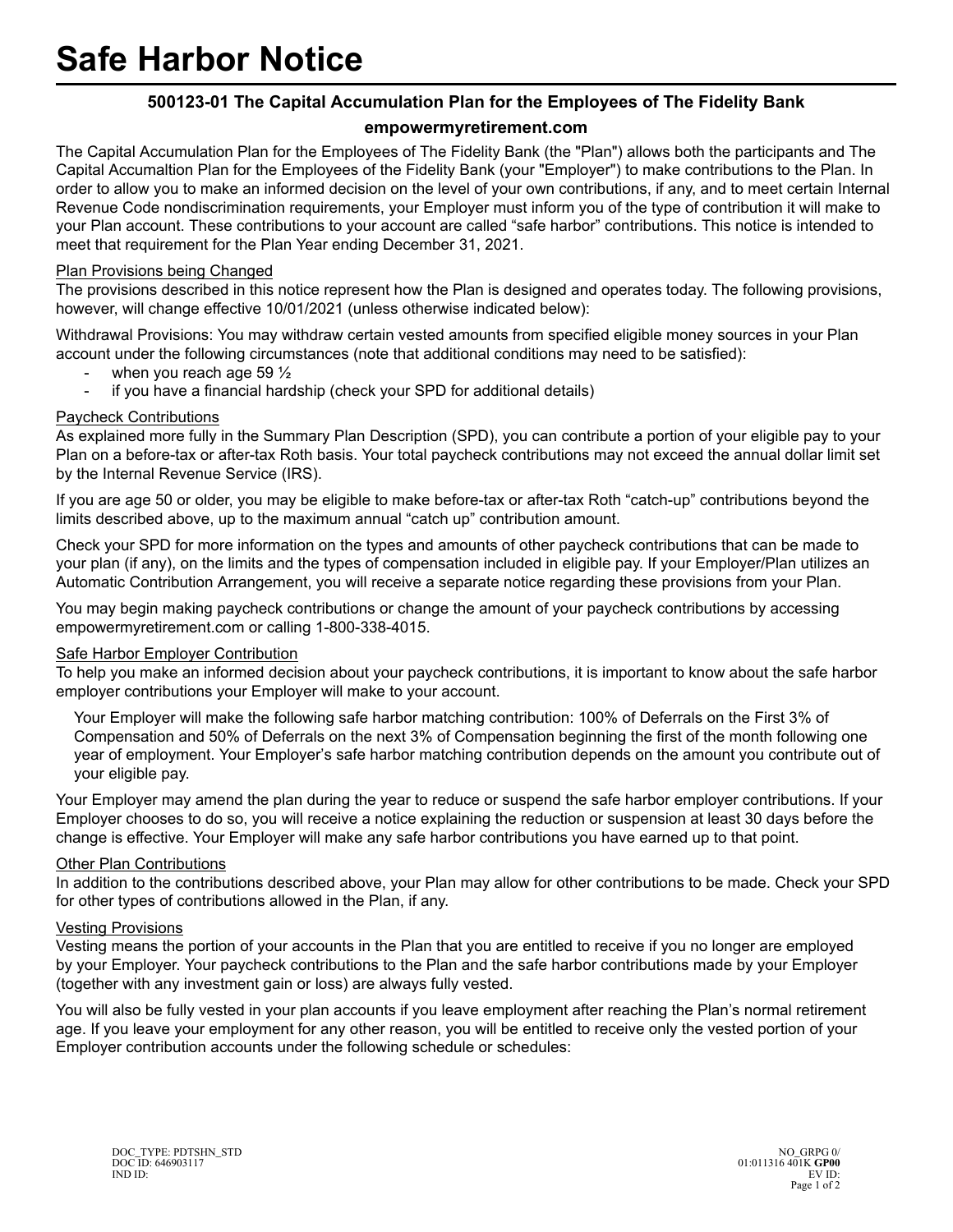# **500123-01 The Capital Accumulation Plan for the Employees of The Fidelity Bank**

## **empowermyretirement.com**

The Capital Accumulation Plan for the Employees of The Fidelity Bank (the "Plan") allows both the participants and The Capital Accumaltion Plan for the Employees of the Fidelity Bank (your "Employer") to make contributions to the Plan. In order to allow you to make an informed decision on the level of your own contributions, if any, and to meet certain Internal Revenue Code nondiscrimination requirements, your Employer must inform you of the type of contribution it will make to your Plan account. These contributions to your account are called "safe harbor" contributions. This notice is intended to meet that requirement for the Plan Year ending December 31, 2021.

## Plan Provisions being Changed

The provisions described in this notice represent how the Plan is designed and operates today. The following provisions, however, will change effective 10/01/2021 (unless otherwise indicated below):

Withdrawal Provisions: You may withdraw certain vested amounts from specified eligible money sources in your Plan account under the following circumstances (note that additional conditions may need to be satisfied):

- when you reach age 59  $\frac{1}{2}$
- if you have a financial hardship (check your SPD for additional details)

### Paycheck Contributions

As explained more fully in the Summary Plan Description (SPD), you can contribute a portion of your eligible pay to your Plan on a before-tax or after-tax Roth basis. Your total paycheck contributions may not exceed the annual dollar limit set by the Internal Revenue Service (IRS).

If you are age 50 or older, you may be eligible to make before-tax or after-tax Roth "catch-up" contributions beyond the limits described above, up to the maximum annual "catch up" contribution amount.

Check your SPD for more information on the types and amounts of other paycheck contributions that can be made to your plan (if any), on the limits and the types of compensation included in eligible pay. If your Employer/Plan utilizes an Automatic Contribution Arrangement, you will receive a separate notice regarding these provisions from your Plan.

You may begin making paycheck contributions or change the amount of your paycheck contributions by accessing empowermyretirement.com or calling 1-800-338-4015.

#### Safe Harbor Employer Contribution

To help you make an informed decision about your paycheck contributions, it is important to know about the safe harbor employer contributions your Employer will make to your account.

Your Employer will make the following safe harbor matching contribution: 100% of Deferrals on the First 3% of Compensation and 50% of Deferrals on the next 3% of Compensation beginning the first of the month following one year of employment. Your Employer's safe harbor matching contribution depends on the amount you contribute out of your eligible pay.

Your Employer may amend the plan during the year to reduce or suspend the safe harbor employer contributions. If your Employer chooses to do so, you will receive a notice explaining the reduction or suspension at least 30 days before the change is effective. Your Employer will make any safe harbor contributions you have earned up to that point.

#### **Other Plan Contributions**

In addition to the contributions described above, your Plan may allow for other contributions to be made. Check your SPD for other types of contributions allowed in the Plan, if any.

#### Vesting Provisions

Vesting means the portion of your accounts in the Plan that you are entitled to receive if you no longer are employed by your Employer. Your paycheck contributions to the Plan and the safe harbor contributions made by your Employer (together with any investment gain or loss) are always fully vested.

You will also be fully vested in your plan accounts if you leave employment after reaching the Plan's normal retirement age. If you leave your employment for any other reason, you will be entitled to receive only the vested portion of your Employer contribution accounts under the following schedule or schedules: